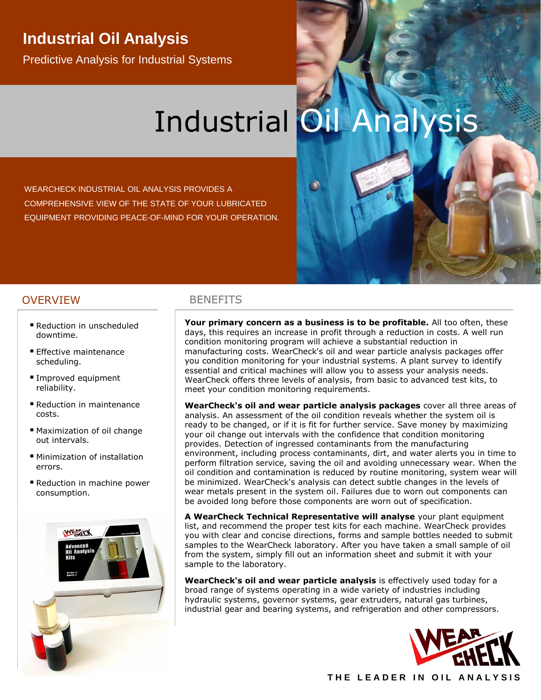# **Industrial Oil Analysis**

Predictive Analysis for Industrial Systems

# Industrial **Oil**

WEARCHECK INDUSTRIAL OIL ANALYSIS PROVIDES A COMPREHENSIVE VIEW OF THE STATE OF YOUR LUBRICATED EQUIPMENT PROVIDING PEACE-OF-MIND FOR YOUR OPERATION.

### OVERVIEW BENEFITS

- Reduction in unscheduled downtime.
- **Effective maintenance** scheduling.
- Improved equipment reliability.
- Reduction in maintenance costs.
- Maximization of oil change out intervals.
- Minimization of installation errors.
- Reduction in machine power consumption.



**Your primary concern as a business is to be profitable.** All too often, these days, this requires an increase in profit through a reduction in costs. A well run condition monitoring program will achieve a substantial reduction in manufacturing costs. WearCheck's oil and wear particle analysis packages offer you condition monitoring for your industrial systems. A plant survey to identify essential and critical machines will allow you to assess your analysis needs. WearCheck offers three levels of analysis, from basic to advanced test kits, to meet your condition monitoring requirements.

**WearCheck's oil and wear particle analysis packages** cover all three areas of analysis. An assessment of the oil condition reveals whether the system oil is ready to be changed, or if it is fit for further service. Save money by maximizing your oil change out intervals with the confidence that condition monitoring provides. Detection of ingressed contaminants from the manufacturing environment, including process contaminants, dirt, and water alerts you in time to perform filtration service, saving the oil and avoiding unnecessary wear. When the oil condition and contamination is reduced by routine monitoring, system wear will be minimized. WearCheck's analysis can detect subtle changes in the levels of wear metals present in the system oil. Failures due to worn out components can be avoided long before those components are worn out of specification.

**A WearCheck Technical Representative will analyse** your plant equipment list, and recommend the proper test kits for each machine. WearCheck provides you with clear and concise directions, forms and sample bottles needed to submit samples to the WearCheck laboratory. After you have taken a small sample of oil from the system, simply fill out an information sheet and submit it with your sample to the laboratory.

**WearCheck's oil and wear particle analysis** is effectively used today for a broad range of systems operating in a wide variety of industries including hydraulic systems, governor systems, gear extruders, natural gas turbines, industrial gear and bearing systems, and refrigeration and other compressors.